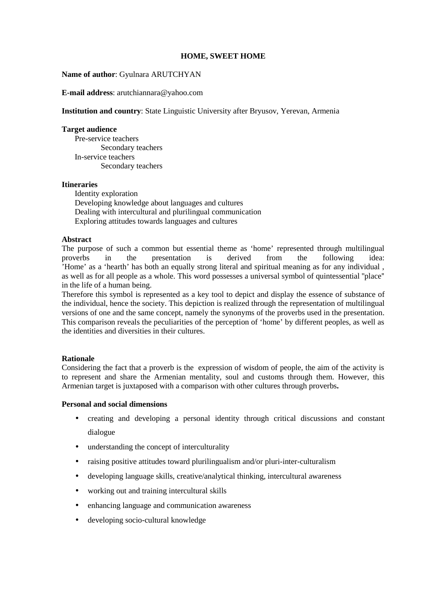## **HOME, SWEET HOME**

#### **Name of author**: Gyulnara ARUTCHYAN

**E-mail address**: arutchiannara@yahoo.com

**Institution and country**: State Linguistic University after Bryusov, Yerevan, Armenia

#### **Target audience**

Pre-service teachers Secondary teachers In-service teachers Secondary teachers

#### **Itineraries**

Identity exploration Developing knowledge about languages and cultures Dealing with intercultural and plurilingual communication Exploring attitudes towards languages and cultures

## **Abstract**

The purpose of such a common but essential theme as 'home' represented through multilingual proverbs in the presentation is derived from the following idea: 'Home' as a 'hearth' has both an equally strong literal and spiritual meaning as for any individual , as well as for all people as a whole. This word possesses a universal symbol of quintessential ''place'' in the life of a human being.

Therefore this symbol is represented as a key tool to depict and display the essence of substance of the individual, hence the society. This depiction is realized through the representation of multilingual versions of one and the same concept, namely the synonyms of the proverbs used in the presentation. This comparison reveals the peculiarities of the perception of 'home' by different peoples, as well as the identities and diversities in their cultures.

## **Rationale**

Considering the fact that a proverb is the expression of wisdom of people, the aim of the activity is to represent and share the Armenian mentality, soul and customs through them. However, this Armenian target is juxtaposed with a comparison with other cultures through proverbs**.**

## **Personal and social dimensions**

- creating and developing a personal identity through critical discussions and constant dialogue
- understanding the concept of interculturality
- raising positive attitudes toward plurilingualism and/or pluri-inter-culturalism
- developing language skills, creative/analytical thinking, intercultural awareness
- working out and training intercultural skills
- enhancing language and communication awareness
- developing socio-cultural knowledge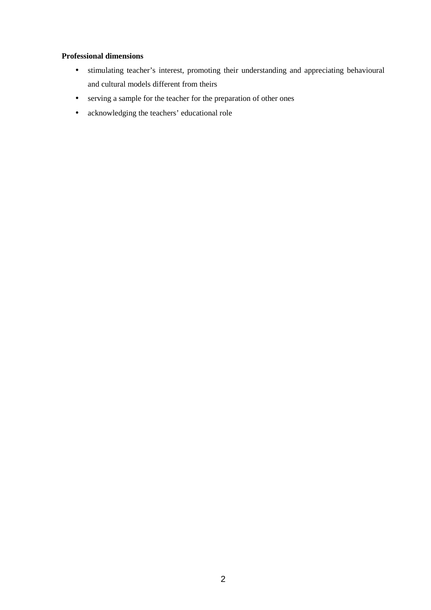# **Professional dimensions**

- stimulating teacher's interest, promoting their understanding and appreciating behavioural and cultural models different from theirs
- serving a sample for the teacher for the preparation of other ones
- acknowledging the teachers' educational role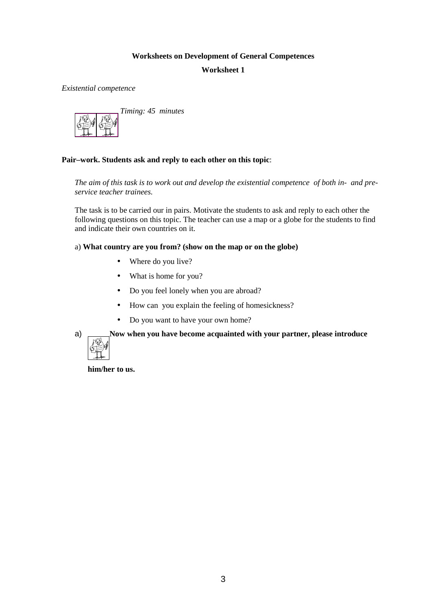# **Worksheets on Development of General Competences**

## **Worksheet 1**

*Existential competence*



# **Pair–work. Students ask and reply to each other on this topic**:

*The aim of this task is to work out and develop the existential competence of both in- and preservice teacher trainees.*

The task is to be carried our in pairs. Motivate the students to ask and reply to each other the following questions on this topic. The teacher can use a map or a globe for the students to find and indicate their own countries on it.

a) **What country are you from? (show on the map or on the globe)**

- Where do you live?
- What is home for you?
- Do you feel lonely when you are abroad?
- How can you explain the feeling of homesickness?
- Do you want to have your own home?

a) **Now when you have become acquainted with your partner, please introduce**



**him/her to us.**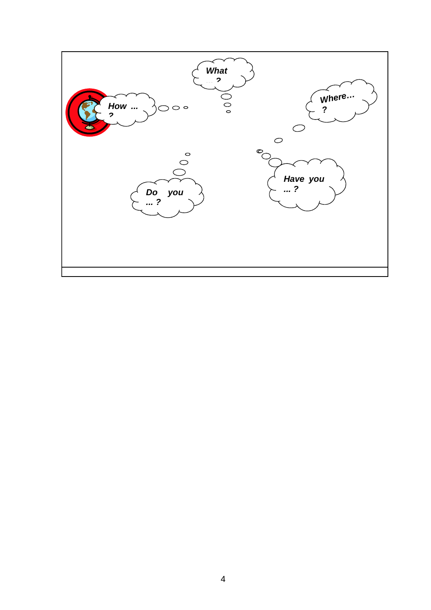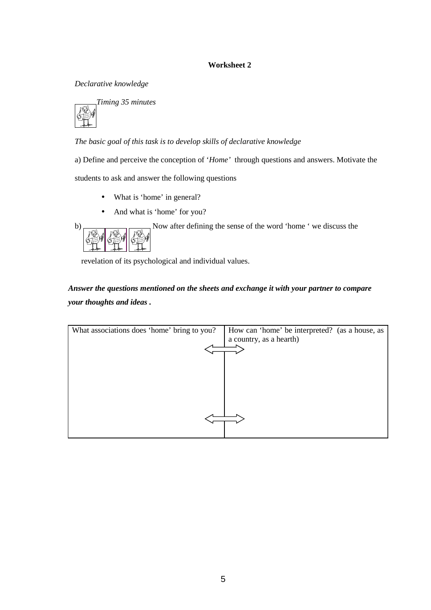*Declarative knowledge* 



*The basic goal of this task is to develop skills of declarative knowledge*

a) Define and perceive the conception of '*Home'* through questions and answers. Motivate the

students to ask and answer the following questions

- What is 'home' in general?
- And what is 'home' for you?



b) Now after defining the sense of the word 'home ' we discuss the

revelation of its psychological and individual values.

# *Answer the questions mentioned on the sheets and exchange it with your partner to compare your thoughts and ideas .*

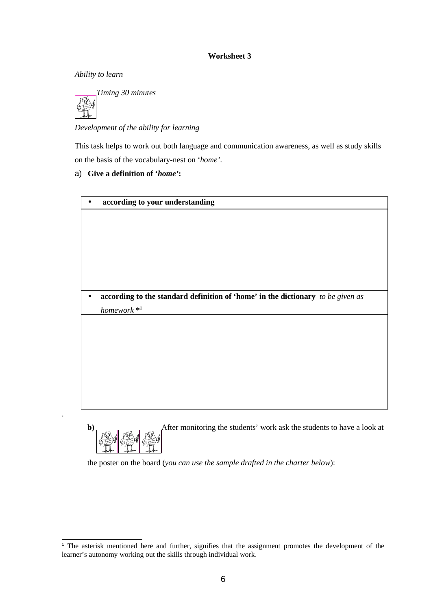*Ability to learn*

.



*Development of the ability for learning* 

This task helps to work out both language and communication awareness, as well as study skills on the basis of the vocabulary-nest on '*home'*.

# a) **Give a definition of '***home'***:**

| according to your understanding                                                 |
|---------------------------------------------------------------------------------|
|                                                                                 |
|                                                                                 |
|                                                                                 |
|                                                                                 |
|                                                                                 |
|                                                                                 |
|                                                                                 |
| according to the standard definition of 'home' in the dictionary to be given as |
| $homework *1$                                                                   |
|                                                                                 |
|                                                                                 |
|                                                                                 |
|                                                                                 |
|                                                                                 |
|                                                                                 |
|                                                                                 |
|                                                                                 |

**b**) After monitoring the students' work ask the students to have a look at

the poster on the board (*you can use the sample drafted in the charter below*):

<sup>&</sup>lt;sup>1</sup> The asterisk mentioned here and further, signifies that the assignment promotes the development of the learner's autonomy working out the skills through individual work.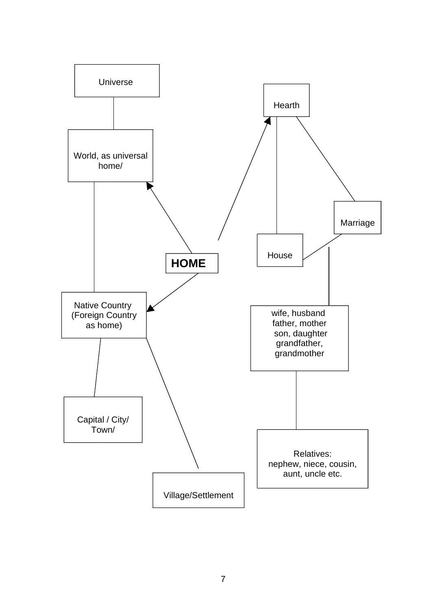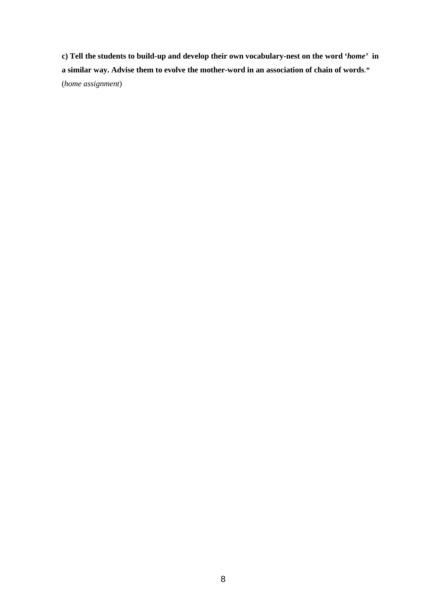**c) Tell the students to build-up and develop their own vocabulary-nest on the word '***home'* **in a similar way. Advise them to evolve the mother-word in an association of chain of words**.\* (*home assignment*)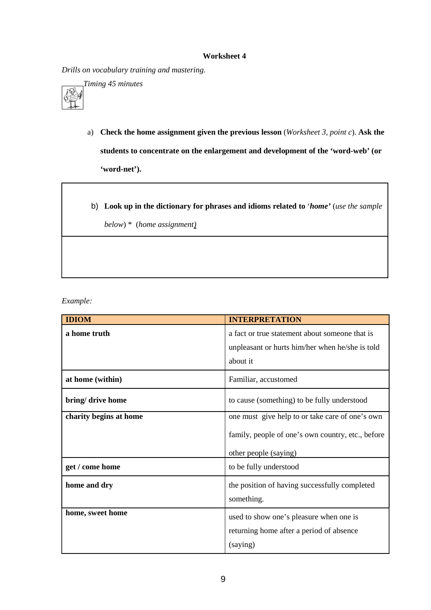*Drills on vocabulary training and mastering.*



a) **Check the home assignment given the previous lesson** (*Worksheet 3, point c*). **Ask the students to concentrate on the enlargement and development of the 'word-web' (or 'word-net').**

b) **Look up in the dictionary for phrases and idioms related to** '*home'* (*use the sample below*) \* (*home assignment)*

*Example:*

| <b>IDIOM</b>           | <b>INTERPRETATION</b>                             |
|------------------------|---------------------------------------------------|
| a home truth           | a fact or true statement about someone that is    |
|                        | unpleasant or hurts him/her when he/she is told   |
|                        | about it                                          |
| at home (within)       | Familiar, accustomed                              |
| bring/drive home       | to cause (something) to be fully understood       |
| charity begins at home | one must give help to or take care of one's own   |
|                        | family, people of one's own country, etc., before |
|                        | other people (saying)                             |
| get / come home        | to be fully understood                            |
| home and dry           | the position of having successfully completed     |
|                        | something.                                        |
| home, sweet home       | used to show one's pleasure when one is           |
|                        | returning home after a period of absence          |
|                        | (saying)                                          |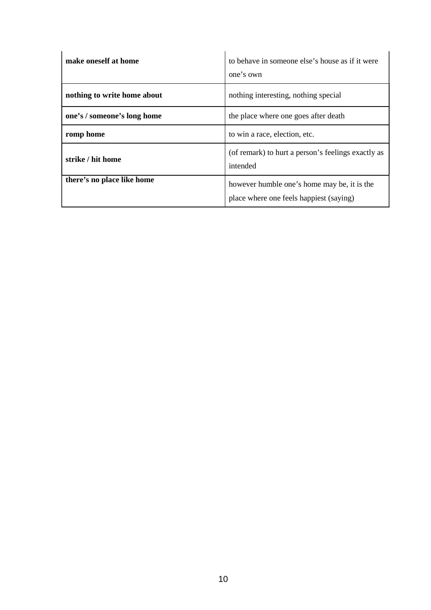| make oneself at home        | to behave in someone else's house as if it were<br>one's own                           |
|-----------------------------|----------------------------------------------------------------------------------------|
| nothing to write home about | nothing interesting, nothing special                                                   |
| one's / someone's long home | the place where one goes after death                                                   |
| romp home                   | to win a race, election, etc.                                                          |
| strike / hit home           | (of remark) to hurt a person's feelings exactly as<br>intended                         |
| there's no place like home  | however humble one's home may be, it is the<br>place where one feels happiest (saying) |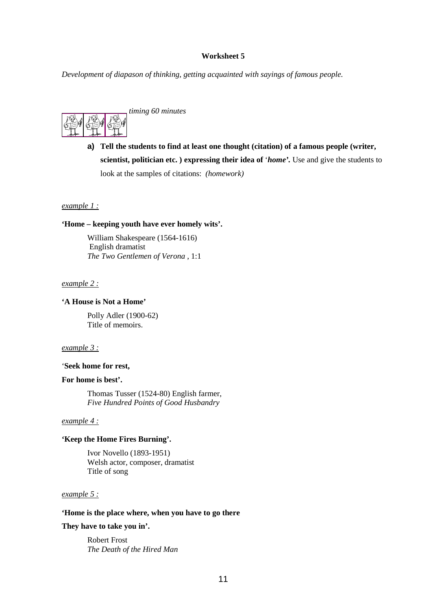*Development of diapason of thinking, getting acquainted with sayings of famous people.*



**a) Tell the students to find at least one thought (citation) of a famous people (writer, scientist, politician etc. ) expressing their idea of** '*home'.* Use and give the students to

look at the samples of citations: *(homework)*

*example 1 :*

#### **'Home – keeping youth have ever homely wits'.**

William Shakespeare (1564-1616) English dramatist *The Two Gentlemen of Verona* , 1:1

#### *example 2 :*

#### **'A House is Not a Home'**

Polly Adler (1900-62) Title of memoirs.

#### *example 3 :*

#### '**Seek home for rest,**

#### **For home is best'.**

Thomas Tusser (1524-80) English farmer, *Five Hundred Points of Good Husbandry* 

#### *example 4 :*

## **'Keep the Home Fires Burning'.**

Ivor Novello (1893-1951) Welsh actor, composer, dramatist Title of song

#### *example 5 :*

#### **'Home is the place where, when you have to go there**

#### **They have to take you in'.**

Robert Frost *The Death of the Hired Man*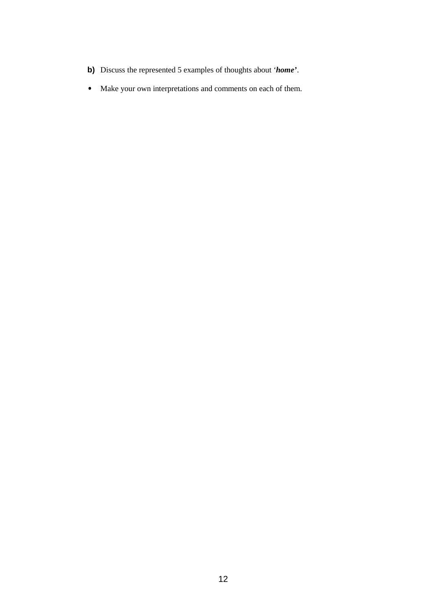- **b)** Discuss the represented 5 examples of thoughts about '*home'*.
- Make your own interpretations and comments on each of them.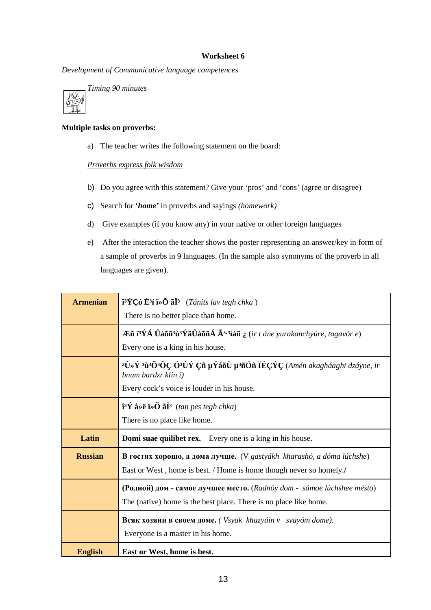*Development of Communicative language competences*



## **Multiple tasks on proverbs:**

a) The teacher writes the following statement on the board:

# *Proverbs express folk wisdom*

- b) Do you agree with this statement? Give your 'pros' and 'cons' (agree or disagree)
- c) Search for '*home'* in proverbs and sayings *(homework)*
- d) Give examples (if you know any) in your native or other foreign languages
- e) After the interaction the teacher shows the poster representing an answer/key in form of a sample of proverbs in 9 languages. (In the sample also synonyms of the proverb in all languages are given).

| <b>Armenian</b> | $\mathbf{\hat{P}}\mathbf{\hat{Y}}\mathbf{\hat{C}}\mathbf{\hat{O}}\mathbf{\hat{E}}\mathbf{\hat{S}}\mathbf{\hat{S}}\mathbf{\hat{N}}$ (Tánits lav tegh chka)                    |  |
|-----------------|------------------------------------------------------------------------------------------------------------------------------------------------------------------------------|--|
|                 | There is no better place than home.                                                                                                                                          |  |
|                 | Æñ i <sup>3</sup> ÝÁ Ûáõñ <sup>3</sup> ù <sup>3</sup> ÝãÛáõñÁ Ã <sup>3,3</sup> íáñ ¿ (ir t áne yurakanchyúre, tagavór e)                                                     |  |
|                 | Every one is a king in his house.                                                                                                                                            |  |
|                 | <sup>2</sup> Ù»Ý <sup>3</sup> ù <sup>3</sup> Õ <sup>3</sup> ÕÇ Ó <sup>3</sup> ÛÝ Ç <b>ñ µÝáõÙ µ<sup>3</sup>ñÓñ ÏÉÇÝ</b> Ç (Amén akagháaghi dzáyne, ir<br>bnum bardzr klin í) |  |
|                 | Every cock's voice is louder in his house.                                                                                                                                   |  |
|                 | $\mathbf{\hat{i}^3\hat{Y}}\mathbf{\hat{a}}$ ȑ $\mathbf{\hat{i}}\mathbf{^{\circ}}\mathbf{\hat{O}}\mathbf{\hat{a}}\mathbf{\hat{i}^{\circ}}$ (tan pes tegh chka)                |  |
|                 | There is no place like home.                                                                                                                                                 |  |
| Latin           | <b>Domi suae quilibet rex.</b> Every one is a king in his house.                                                                                                             |  |
| <b>Russian</b>  | В гостях хорошо, а дома лучше. (V gastyákh kharashó, a dóma lúchshe)<br>East or West, home is best. / Home is home though never so homely./                                  |  |
|                 | (Родной) дом - самое лучшее место. (Radnóy dom - sámoe lúchshee mésto)                                                                                                       |  |
|                 | The (native) home is the best place. There is no place like home.                                                                                                            |  |
|                 | Всяк хозяин в своем доме. (Vsyak khazyáin v svayóm dome).                                                                                                                    |  |
|                 | Everyone is a master in his home.                                                                                                                                            |  |
| <b>English</b>  | East or West, home is best.                                                                                                                                                  |  |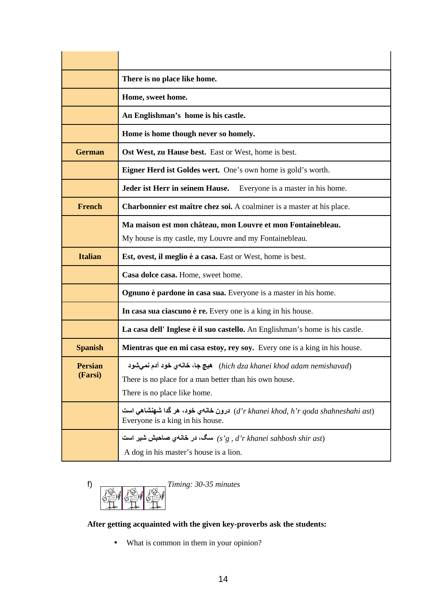|                           | There is no place like home.                                                                                                                                   |  |  |
|---------------------------|----------------------------------------------------------------------------------------------------------------------------------------------------------------|--|--|
|                           | Home, sweet home.                                                                                                                                              |  |  |
|                           | An Englishman's home is his castle.                                                                                                                            |  |  |
|                           | Home is home though never so homely.                                                                                                                           |  |  |
| <b>German</b>             | Ost West, zu Hause best. East or West, home is best.                                                                                                           |  |  |
|                           | <b>Eigner Herd ist Goldes wert.</b> One's own home is gold's worth.                                                                                            |  |  |
|                           | Jeder ist Herr in seinem Hause.<br>Everyone is a master in his home.                                                                                           |  |  |
| <b>French</b>             | Charbonnier est maître chez soi. A coalminer is a master at his place.                                                                                         |  |  |
|                           | Ma maison est mon château, mon Louvre et mon Fontainebleau.                                                                                                    |  |  |
|                           | My house is my castle, my Louvre and my Fontainebleau.                                                                                                         |  |  |
| <b>Italian</b>            | Est, ovest, il meglio è a casa. East or West, home is best.                                                                                                    |  |  |
|                           | Casa dolce casa. Home, sweet home.                                                                                                                             |  |  |
|                           | Ognuno è pardone in casa sua. Everyone is a master in his home.                                                                                                |  |  |
|                           | In casa sua ciascuno è re. Every one is a king in his house.                                                                                                   |  |  |
|                           | La casa dell'Inglese è il suo castello. An Englishman's home is his castle.                                                                                    |  |  |
| <b>Spanish</b>            | <b>Mientras que en mi casa estoy, rey soy.</b> Every one is a king in his house.                                                                               |  |  |
| <b>Persian</b><br>(Farsi) | (hich dza khanei khod adam nemishavad) هيچ جا، خانهي خود آدم نمي شود<br>There is no place for a man better than his own house.<br>There is no place like home. |  |  |
|                           | درون خانـهي خود، هر گدا شـهنشـاهي است (d'r khanei khod, h'r qoda shahneshahi ast)<br>Everyone is a king in his house.                                          |  |  |
|                           | سگ، در خانـهي صاحبش شير است (s'g , d'r khanei sahbosh shir ast)                                                                                                |  |  |
|                           | A dog in his master's house is a lion.                                                                                                                         |  |  |

f) *Timing: 30-35 minutes* Ç

**After getting acquainted with the given key-proverbs ask the students:** 

• What is common in them in your opinion?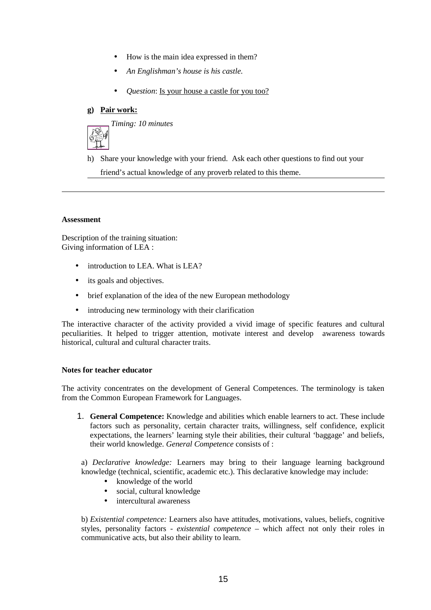- How is the main idea expressed in them?
- *An Englishman's house is his castle.*
- *Question*: Is your house a castle for you too?

## **g) Pair work:**



h) Share your knowledge with your friend. Ask each other questions to find out your

friend's actual knowledge of any proverb related to this theme.

#### **Assessment**

Description of the training situation: Giving information of LEA :

- introduction to LEA. What is LEA?
- its goals and objectives.
- brief explanation of the idea of the new European methodology
- introducing new terminology with their clarification

The interactive character of the activity provided a vivid image of specific features and cultural peculiarities. It helped to trigger attention, motivate interest and develop awareness towards historical, cultural and cultural character traits.

## **Notes for teacher educator**

The activity concentrates on the development of General Competences. The terminology is taken from the Common European Framework for Languages.

1. **General Competence:** Knowledge and abilities which enable learners to act. These include factors such as personality, certain character traits, willingness, self confidence, explicit expectations, the learners' learning style their abilities, their cultural 'baggage' and beliefs, their world knowledge. *General Competence* consists of :

a) *Declarative knowledge:* Learners may bring to their language learning background knowledge (technical, scientific, academic etc.). This declarative knowledge may include:

- knowledge of the world
- social, cultural knowledge
- intercultural awareness

b) *Existential competence:* Learners also have attitudes, motivations, values, beliefs, cognitive styles, personality factors - *existential competence* – which affect not only their roles in communicative acts, but also their ability to learn.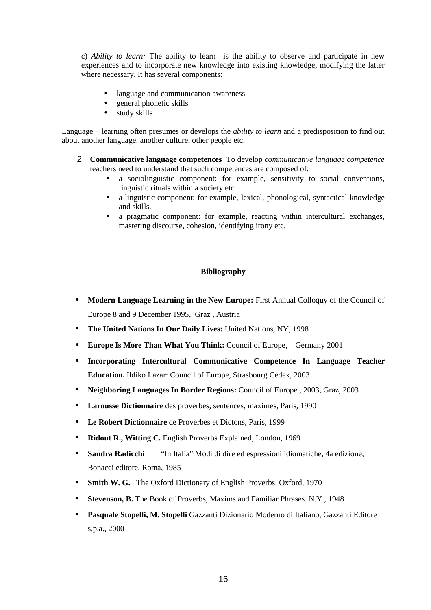c) *Ability to learn:* The ability to learn is the ability to observe and participate in new experiences and to incorporate new knowledge into existing knowledge, modifying the latter where necessary. It has several components:

- language and communication awareness
- general phonetic skills
- study skills

Language – learning often presumes or develops the *ability to learn* and a predisposition to find out about another language, another culture, other people etc.

- 2. **Communicative language competences** To develop *communicative language competence* teachers need to understand that such competences are composed of:
	- a sociolinguistic component: for example, sensitivity to social conventions, linguistic rituals within a society etc.
	- a linguistic component: for example, lexical, phonological, syntactical knowledge and skills.
	- a pragmatic component: for example, reacting within intercultural exchanges, mastering discourse, cohesion, identifying irony etc.

# **Bibliography**

- **Modern Language Learning in the New Europe:** First Annual Colloquy of the Council of Europe 8 and 9 December 1995, Graz , Austria
- **The United Nations In Our Daily Lives:** United Nations, NY, 1998
- **Europe Is More Than What You Think:** Council of Europe, Germany 2001
- **Incorporating Intercultural Communicative Competence In Language Teacher Education.** Ildiko Lazar: Council of Europe, Strasbourg Cedex, 2003
- **Neighboring Languages In Border Regions:** Council of Europe , 2003, Graz, 2003
- **Larousse Dictionnaire** des proverbes, sentences, maximes, Paris, 1990
- **Le Robert Dictionnaire** de Proverbes et Dictons, Paris, 1999
- **Ridout R., Witting C.** English Proverbs Explained, London, 1969
- **Sandra Radicchi** "In Italia" Modi di dire ed espressioni idiomatiche, 4a edizione, Bonacci editore, Roma, 1985
- **Smith W. G.** The Oxford Dictionary of English Proverbs. Oxford, 1970
- **Stevenson, B.** The Book of Proverbs, Maxims and Familiar Phrases. N.Y., 1948
- **Pasquale Stopelli, M. Stopelli** Gazzanti Dizionario Moderno di Italiano, Gazzanti Editore s.p.a., 2000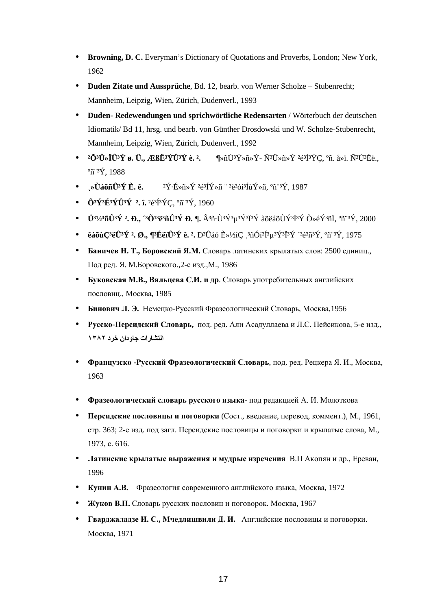- **Browning, D. C.** Everyman's Dictionary of Quotations and Proverbs, London; New York, 1962
- **Duden Zitate und Aussprüche**, Bd. 12, bearb. von Werner Scholze Stubenrecht; Mannheim, Leipzig, Wien, Zürich, Dudenverl., 1993
- **Duden- Redewendungen und sprichwörtliche Redensarten** / Wörterbuch der deutschen Idiomatik/ Bd 11, hrsg. und bearb. von Günther Drosdowski und W. Scholze-Stubenrecht, Mannheim, Leipzig, Wien, Zürich, Dudenverl., 1992
- $\bullet$   ${}^{2}\tilde{\mathbf{O}}^{3}\hat{\mathbf{U}}$ **»ÏÛ** ${}^{3}\hat{\mathbf{Y}}$  **ø. Ü., ÆßË** ${}^{3}\hat{\mathbf{Y}}\hat{\mathbf{U}}^{3}\hat{\mathbf{Y}}$ **è.**  ${}^{2}$ **.**  $\blacksquare$  $\blacksquare$  **ni)** ${}^{3}\hat{\mathbf{Y}}$  **Ȗ»Ý**  ${}^{2}\hat{\mathbf{S}}^{3}\hat{\mathbf{Y}}^{3}\hat{\mathbf{C}}$ **,**  ${}^{0}$ **ñ. å»ï. Ñ** ${}^{3}\hat{\mathbf{U}}^{3}\hat{\mathbf{E}}$ **ë.,**  $\frac{9a}{3}$ <sup>9</sup> $\frac{3y}{7}$ , 1988
- »ÙáõñÛ<sup>3</sup>Ý È. ê. <sup>2Ý</sup>·É»ñ»Ý <sup>2</sup>é<sup>3</sup>ÍÝ»ñ ¨ <sup>3</sup>ë<sup>3</sup>óí<sup>3</sup>ÍùÝ»ñ, °ñ¨<sup>3</sup>Ý, 1987
- Ô<sup>3</sup>Υ̓<sup>3</sup>É<sup>3</sup>Υ̓Û<sup>3</sup>Υ̓ <sup>2</sup>. î. <sup>2</sup>é<sup>3</sup>Í<sup>3</sup>ΎC, °ñ¨<sup>3</sup>Ύ, 1960
- **Ü<sup>31</sup>/<sub>2</sub><sup>3</sup>ñÛ<sup>3</sup>Ý <sup>2</sup>. Đ., <sup>23</sup>Õ<sup>13</sup>ë¥ñÛ<sup>3</sup>Ý Đ. ¶. Â<sup>3</sup>ñ·Ù<sup>3</sup>Ý<sup>3</sup>µ<sup>3Ý3</sup>Ï<sup>3Ý</sup> àõëáõÙÝ<sup>3</sup>Ï<sup>3</sup>Ý Ò»éÝ<sup>3</sup>ñÏ, °ñ¨<sup>3</sup>Ý, 2000**
- êáõùC<sup>3</sup>ëÛ<sup>3</sup>Ý ?. Ø., ¶<sup>3</sup>ÉëïÛ<sup>3</sup>Ý ê. ?. Đ<sup>3</sup>Ûáó È»½íC <sub>3</sub>ñÓí<sup>3</sup>Í<sup>3</sup>µ<sup>3</sup>Ý<sup>3</sup>Ï3Ý ´<sup>3</sup>é<sup>3</sup>ñ<sup>3</sup>Ý, °ñ¨<sup>3</sup>Ý, 1975
- Баничев Н**.** Т**.,** Боровский Я**.**М**.** Словарь латинских крылатых слов: 2500 единиц., Под ред. Я. М.Боровского.,2-е изд.,М., 1986
- Буковская М**.**В**.,** Вяльцева С**.**И**.** и др. Словарь употребительных английских пословиц., Москва, 1985
- Бинович Л**.** Э**.** Немецко-Русский Фразеологический Словарь, Москва,1956
- Русско**-**Персидский Словарь**,** под. ред. Али Асадуллаева и Л.С. Пейсикова, 5-е изд., انتشارات جاودان خرد ١٣٨٢
- Французско **-**Русский Фразеологический Словарь, под. ред. Рецкера Я. И., Москва, 1963
- Фразеологический словарь русского языка- под редакцией А. И. Молоткова
- Персидские пословицы и поговорки (Сост., введение, перевод, коммент.), М., 1961, стр. 363; 2-е изд. под загл. Персидские пословицы и поговорки и крылатые слова, М., 1973, с. 616.
- Латинские крылатые выражения и мудрые изречения В.П Акопян и др., Ереван, 1996
- Кунин А**.**В**.** Фразеология современного английского языка, Москва, 1972
- Жуков В**.**П**.** Словарь русских пословиц и поговорок. Москва, 1967
- Гварджаладзе И**.** С**.,** Мчедлишвили Д**.** И**.** Английские пословицы и поговорки. Москва, 1971